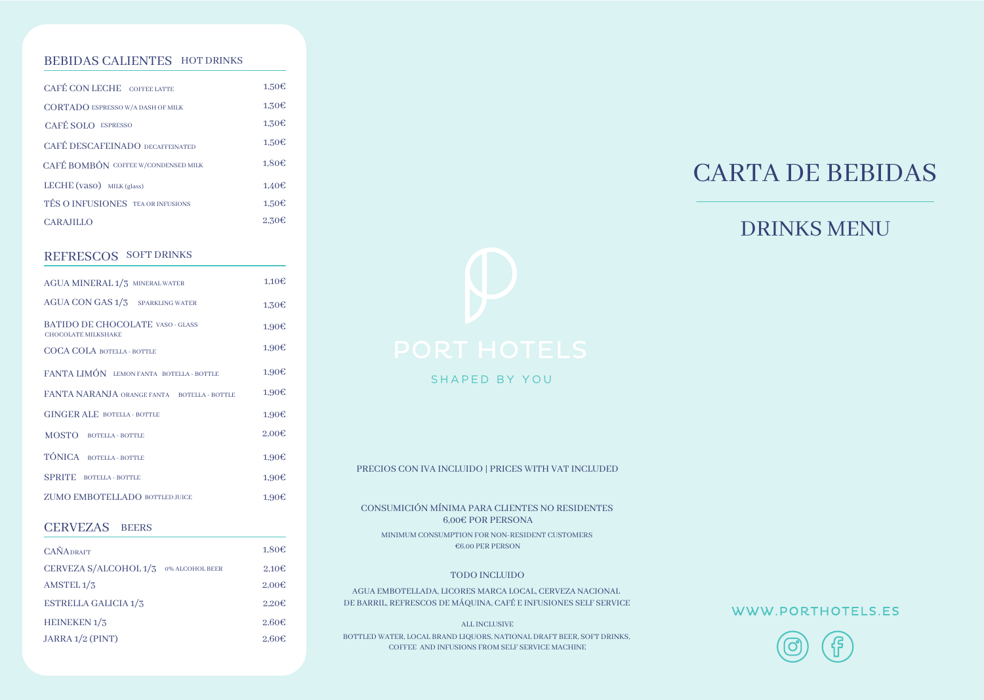#### BEBIDAS CALIENTES HOT DRINKS

| CAFÉ CON LECHE COFFEE LATTE              | 1.50E             |
|------------------------------------------|-------------------|
| <b>CORTADO ESPRESSO W/A DASH OF MILK</b> | 1.30E             |
| CAFÉ SOLO ESPRESSO                       | 1.30€             |
| <b>CAFÉ DESCAFEINADO DECAFFEINATED</b>   | 1.50E             |
| CAFÉ BOMBÓN COFFEE W/CONDENSED MILK      | 1.80E             |
| LECHE $(vaso)$ MILK $(glass)$            | 1.40E             |
| TÉS O INFUSIONES TEA OR INFUSIONS        | 1.50E             |
| <b>CARAJILLO</b>                         | 2.30 <sub>6</sub> |

#### REFRESCOS SOFT DRINKS

| AGUA MINERAL 1/3 MINERAL WATER                                 | 1,10E             |
|----------------------------------------------------------------|-------------------|
| <b>AGUA CON GAS 1/3 SPARKLING WATER</b>                        | 1.30E             |
| <b>BATIDO DE CHOCOLATE VASO - GLASS</b><br>CHOCOLATE MILKSHAKE | 1.90E             |
| <b>COCA COLA BOTELLA - BOTTLE</b>                              | 1.90E             |
| FANTA LIMÓN LEMONFANTA BOTELLA-BOTTLE                          | 1.90€             |
| FANTA NARANJA ORANGE FANTA BOTELLA - BOTTLE                    | 1.90€             |
| <b>GINGER ALE BOTELLA-BOTTLE</b>                               | 1.90E             |
| MOSTO BOTELLA - BOTTLE                                         | 2.00 <sub>ε</sub> |
| TÓNICA BOTELLA - BOTTLE                                        | 1,90E             |
| <b>SPRITE</b> BOTELLA - BOTTLE                                 | 1,90E             |
| <b>ZUMO EMBOTELLADO BOTTLED JUICE</b>                          | 1,90€             |
|                                                                |                   |

#### CERVEZAS BEERS

| <b>CAÑADRAFT</b>            |                 | 1,80€             |
|-----------------------------|-----------------|-------------------|
| CERVEZA S/ALCOHOL 1/3       | 0% ALCOHOL BEER | 2.10 <sub>6</sub> |
| AMSTEL <sub>1</sub> /3      |                 | 2.00 <sub>ε</sub> |
| <b>ESTRELLA GALICIA 1/3</b> |                 | 2.20 <sub>ε</sub> |
| HEINEKEN <sub>1</sub> /3    |                 | 2.60 <sub>ε</sub> |
| JARRA 1/2 (PINT)            |                 | 2.60 <sub>ε</sub> |



SHAPED BY YOU

PRECIOS CON IVA INCLUIDO | PRICES WITH VAT INCLUDED

CONSUMICIÓN MÍNIMA PARA CLIENTES NO RESIDENTES 6,00€ POR PERSONA MINIMUM CONSUMPTION FOR NON-RESIDENT CUSTOMERS €6.00 PER PERSON

#### TODO INCLUIDO

AGUA EMBOTELLADA, LICORES MARCA LOCAL, CERVEZA NACIONAL DE BARRIL, REFRESCOS DE MÁQUINA, CAFÉ E INFUSIONES SELF SERVICE

ALL INCLUSIVE BOTTLED WATER, LOCAL BRAND LIQUORS, NATIONAL DRAFT BEER, SOFT DRINKS, COFFEE AND INFUSIONS FROM SELF SERVICE MACHINE

# CARTA DE BEBIDAS

## DRINKS MENU

WWW.PORTHOTELS.ES